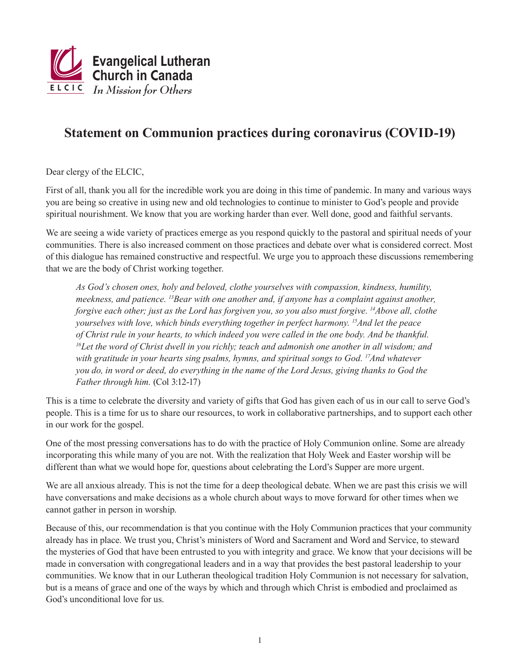

## **Statement on Communion practices during coronavirus (COVID-19)**

Dear clergy of the ELCIC,

First of all, thank you all for the incredible work you are doing in this time of pandemic. In many and various ways you are being so creative in using new and old technologies to continue to minister to God's people and provide spiritual nourishment. We know that you are working harder than ever. Well done, good and faithful servants.

We are seeing a wide variety of practices emerge as you respond quickly to the pastoral and spiritual needs of your communities. There is also increased comment on those practices and debate over what is considered correct. Most of this dialogue has remained constructive and respectful. We urge you to approach these discussions remembering that we are the body of Christ working together.

*As God's chosen ones, holy and beloved, clothe yourselves with compassion, kindness, humility, meekness, and patience. 13Bear with one another and, if anyone has a complaint against another, forgive each other; just as the Lord has forgiven you, so you also must forgive. 14Above all, clothe yourselves with love, which binds everything together in perfect harmony. 15And let the peace of Christ rule in your hearts, to which indeed you were called in the one body. And be thankful. 16Let the word of Christ dwell in you richly; teach and admonish one another in all wisdom; and with gratitude in your hearts sing psalms, hymns, and spiritual songs to God. 17And whatever you do, in word or deed, do everything in the name of the Lord Jesus, giving thanks to God the Father through him.* (Col 3:12-17)

This is a time to celebrate the diversity and variety of gifts that God has given each of us in our call to serve God's people. This is a time for us to share our resources, to work in collaborative partnerships, and to support each other in our work for the gospel.

One of the most pressing conversations has to do with the practice of Holy Communion online. Some are already incorporating this while many of you are not. With the realization that Holy Week and Easter worship will be different than what we would hope for, questions about celebrating the Lord's Supper are more urgent.

We are all anxious already. This is not the time for a deep theological debate. When we are past this crisis we will have conversations and make decisions as a whole church about ways to move forward for other times when we cannot gather in person in worship.

Because of this, our recommendation is that you continue with the Holy Communion practices that your community already has in place. We trust you, Christ's ministers of Word and Sacrament and Word and Service, to steward the mysteries of God that have been entrusted to you with integrity and grace. We know that your decisions will be made in conversation with congregational leaders and in a way that provides the best pastoral leadership to your communities. We know that in our Lutheran theological tradition Holy Communion is not necessary for salvation, but is a means of grace and one of the ways by which and through which Christ is embodied and proclaimed as God's unconditional love for us.